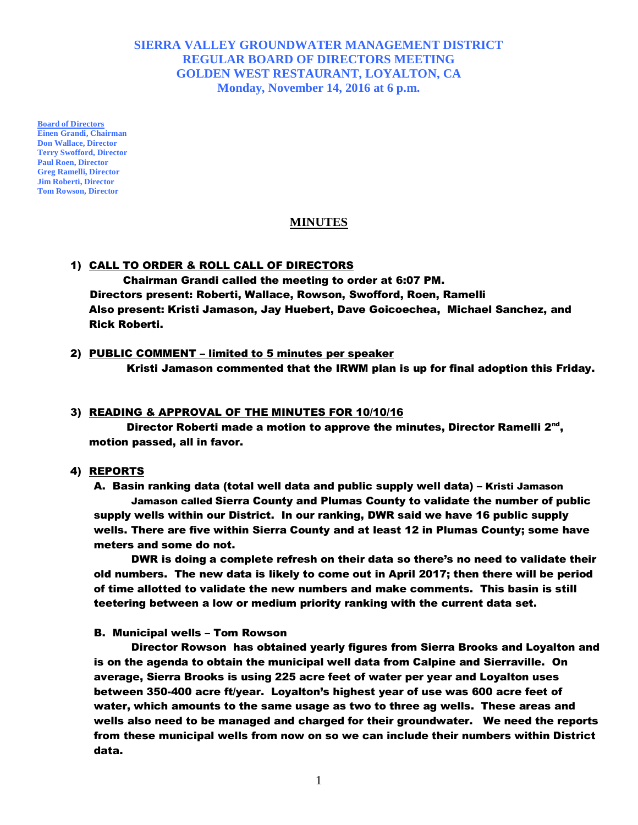# **SIERRA VALLEY GROUNDWATER MANAGEMENT DISTRICT REGULAR BOARD OF DIRECTORS MEETING GOLDEN WEST RESTAURANT, LOYALTON, CA Monday, November 14, 2016 at 6 p.m.**

**Board of Directors Einen Grandi, Chairman Don Wallace, Director Terry Swofford, Director Paul Roen, Director Greg Ramelli, Director Jim Roberti, Director Tom Rowson, Director**

## **MINUTES**

## 1) CALL TO ORDER & ROLL CALL OF DIRECTORS

 Chairman Grandi called the meeting to order at 6:07 PM. Directors present: Roberti, Wallace, Rowson, Swofford, Roen, Ramelli Also present: Kristi Jamason, Jay Huebert, Dave Goicoechea, Michael Sanchez, and Rick Roberti.

## 2) PUBLIC COMMENT - limited to 5 minutes per speaker

Kristi Jamason commented that the IRWM plan is up for final adoption this Friday.

## 3) READING & APPROVAL OF THE MINUTES FOR 10/10/16

Director Roberti made a motion to approve the minutes, Director Ramelli 2<sup>nd</sup>, motion passed, all in favor.

## 4) REPORTS

A. Basin ranking data (total well data and public supply well data) – Kristi Jamason Jamason called Sierra County and Plumas County to validate the number of public supply wells within our District. In our ranking, DWR said we have 16 public supply wells. There are five within Sierra County and at least 12 in Plumas County; some have meters and some do not.

DWR is doing a complete refresh on their data so there's no need to validate their old numbers. The new data is likely to come out in April 2017; then there will be period of time allotted to validate the new numbers and make comments. This basin is still teetering between a low or medium priority ranking with the current data set.

## B. Municipal wells – Tom Rowson

Director Rowson has obtained yearly figures from Sierra Brooks and Loyalton and is on the agenda to obtain the municipal well data from Calpine and Sierraville. On average, Sierra Brooks is using 225 acre feet of water per year and Loyalton uses between 350-400 acre ft/year. Loyalton's highest year of use was 600 acre feet of water, which amounts to the same usage as two to three ag wells. These areas and wells also need to be managed and charged for their groundwater. We need the reports from these municipal wells from now on so we can include their numbers within District data.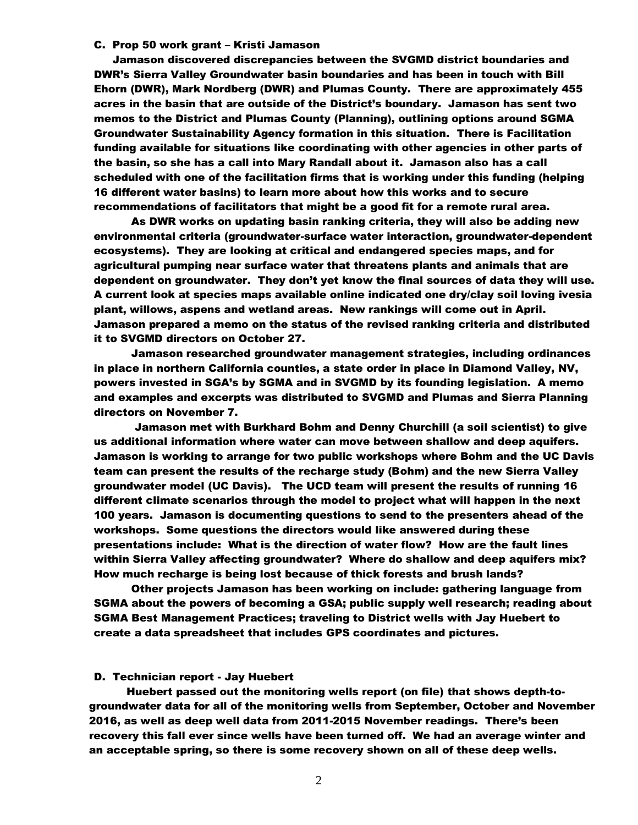### C. Prop 50 work grant – Kristi Jamason

Jamason discovered discrepancies between the SVGMD district boundaries and DWR's Sierra Valley Groundwater basin boundaries and has been in touch with Bill Ehorn (DWR), Mark Nordberg (DWR) and Plumas County. There are approximately 455 acres in the basin that are outside of the District's boundary. Jamason has sent two memos to the District and Plumas County (Planning), outlining options around SGMA Groundwater Sustainability Agency formation in this situation. There is Facilitation funding available for situations like coordinating with other agencies in other parts of the basin, so she has a call into Mary Randall about it. Jamason also has a call scheduled with one of the facilitation firms that is working under this funding (helping 16 different water basins) to learn more about how this works and to secure recommendations of facilitators that might be a good fit for a remote rural area.

As DWR works on updating basin ranking criteria, they will also be adding new environmental criteria (groundwater-surface water interaction, groundwater-dependent ecosystems). They are looking at critical and endangered species maps, and for agricultural pumping near surface water that threatens plants and animals that are dependent on groundwater. They don't yet know the final sources of data they will use. A current look at species maps available online indicated one dry/clay soil loving ivesia plant, willows, aspens and wetland areas. New rankings will come out in April. Jamason prepared a memo on the status of the revised ranking criteria and distributed it to SVGMD directors on October 27.

Jamason researched groundwater management strategies, including ordinances in place in northern California counties, a state order in place in Diamond Valley, NV, powers invested in SGA's by SGMA and in SVGMD by its founding legislation. A memo and examples and excerpts was distributed to SVGMD and Plumas and Sierra Planning directors on November 7.

Jamason met with Burkhard Bohm and Denny Churchill (a soil scientist) to give us additional information where water can move between shallow and deep aquifers. Jamason is working to arrange for two public workshops where Bohm and the UC Davis team can present the results of the recharge study (Bohm) and the new Sierra Valley groundwater model (UC Davis). The UCD team will present the results of running 16 different climate scenarios through the model to project what will happen in the next 100 years. Jamason is documenting questions to send to the presenters ahead of the workshops. Some questions the directors would like answered during these presentations include: What is the direction of water flow? How are the fault lines within Sierra Valley affecting groundwater? Where do shallow and deep aquifers mix? How much recharge is being lost because of thick forests and brush lands?

Other projects Jamason has been working on include: gathering language from SGMA about the powers of becoming a GSA; public supply well research; reading about SGMA Best Management Practices; traveling to District wells with Jay Huebert to create a data spreadsheet that includes GPS coordinates and pictures.

### D. Technician report - Jay Huebert

Huebert passed out the monitoring wells report (on file) that shows depth-togroundwater data for all of the monitoring wells from September, October and November 2016, as well as deep well data from 2011-2015 November readings. There's been recovery this fall ever since wells have been turned off. We had an average winter and an acceptable spring, so there is some recovery shown on all of these deep wells.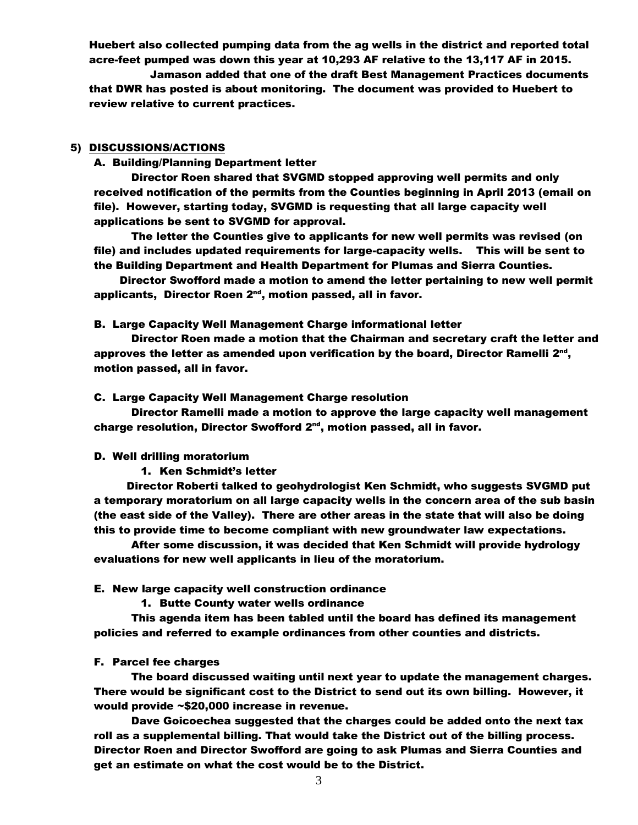Huebert also collected pumping data from the ag wells in the district and reported total acre-feet pumped was down this year at 10,293 AF relative to the 13,117 AF in 2015.

Jamason added that one of the draft Best Management Practices documents that DWR has posted is about monitoring. The document was provided to Huebert to review relative to current practices.

### 5) DISCUSSIONS/ACTIONS

### A. Building/Planning Department letter

Director Roen shared that SVGMD stopped approving well permits and only received notification of the permits from the Counties beginning in April 2013 (email on file). However, starting today, SVGMD is requesting that all large capacity well applications be sent to SVGMD for approval.

The letter the Counties give to applicants for new well permits was revised (on file) and includes updated requirements for large-capacity wells. This will be sent to the Building Department and Health Department for Plumas and Sierra Counties.

Director Swofford made a motion to amend the letter pertaining to new well permit applicants, Director Roen 2<sup>nd</sup>, motion passed, all in favor.

#### B. Large Capacity Well Management Charge informational letter

Director Roen made a motion that the Chairman and secretary craft the letter and approves the letter as amended upon verification by the board, Director Ramelli  $2^{\text{nd}}$ , motion passed, all in favor.

### C. Large Capacity Well Management Charge resolution

Director Ramelli made a motion to approve the large capacity well management charge resolution, Director Swofford 2<sup>nd</sup>, motion passed, all in favor.

#### D. Well drilling moratorium

#### 1. Ken Schmidt's letter

Director Roberti talked to geohydrologist Ken Schmidt, who suggests SVGMD put a temporary moratorium on all large capacity wells in the concern area of the sub basin (the east side of the Valley). There are other areas in the state that will also be doing this to provide time to become compliant with new groundwater law expectations.

After some discussion, it was decided that Ken Schmidt will provide hydrology evaluations for new well applicants in lieu of the moratorium.

#### E. New large capacity well construction ordinance

1. Butte County water wells ordinance

This agenda item has been tabled until the board has defined its management policies and referred to example ordinances from other counties and districts.

#### F. Parcel fee charges

The board discussed waiting until next year to update the management charges. There would be significant cost to the District to send out its own billing. However, it would provide ~\$20,000 increase in revenue.

Dave Goicoechea suggested that the charges could be added onto the next tax roll as a supplemental billing. That would take the District out of the billing process. Director Roen and Director Swofford are going to ask Plumas and Sierra Counties and get an estimate on what the cost would be to the District.

3